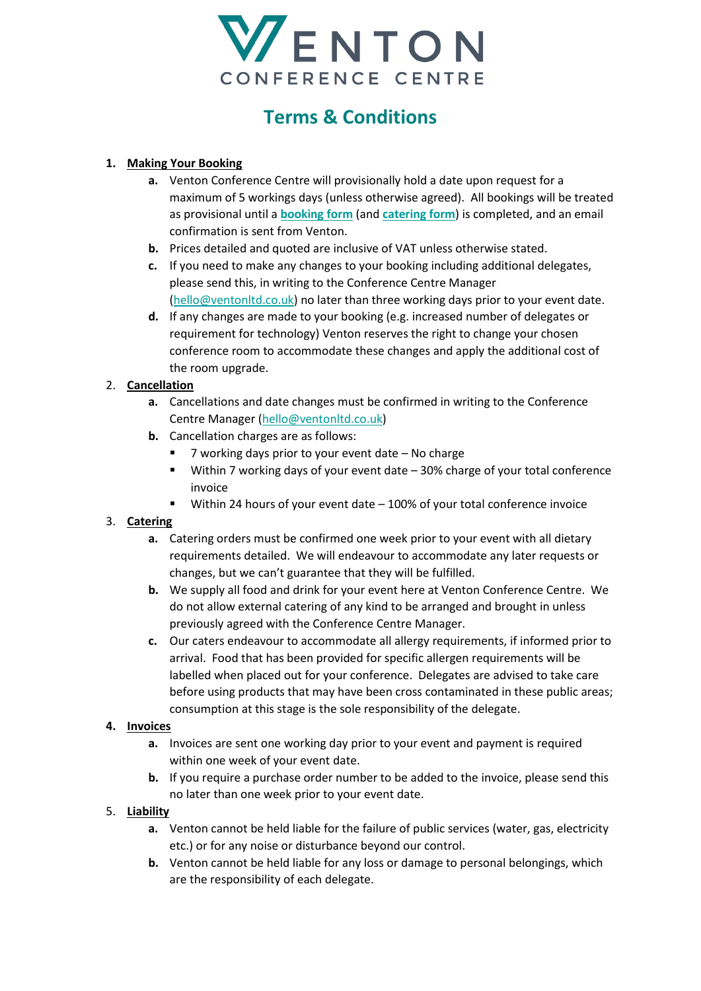

# **Terms & Conditions**

# **1. Making Your Booking**

- **a.** Venton Conference Centre will provisionally hold a date upon request for a maximum of 5 workings days (unless otherwise agreed). All bookings will be treated as provisional until a **[booking form](https://forms.office.com/Pages/ResponsePage.aspx?id=6LEZYSR5-0eRTuzxC7CYtswCk9RmLS9Imhlv9dylpJpUMDFEWDM0N1gwQktZTzU2MjIwQlhSVzhZNy4u)** (and **[catering form](https://forms.office.com/Pages/ResponsePage.aspx?id=6LEZYSR5-0eRTuzxC7CYtswCk9RmLS9Imhlv9dylpJpUMEhWUlg4WEtTRzhFTkRNTEVNQkhIN1FYRy4u)**) is completed, and an email confirmation is sent from Venton.
- **b.** Prices detailed and quoted are inclusive of VAT unless otherwise stated.
- **c.** If you need to make any changes to your booking including additional delegates, please send this, in writing to the Conference Centre Manager [\(hello@ventonltd.co.uk\)](mailto:hello@ventonltd.co.uk) no later than three working days prior to your event date.
- **d.** If any changes are made to your booking (e.g. increased number of delegates or requirement for technology) Venton reserves the right to change your chosen conference room to accommodate these changes and apply the additional cost of the room upgrade.

### 2. **Cancellation**

- **a.** Cancellations and date changes must be confirmed in writing to the Conference Centre Manager [\(hello@ventonltd.co.uk\)](mailto:hello@ventonltd.co.uk)
- **b.** Cancellation charges are as follows:
	- 7 working days prior to your event date No charge
	- Within 7 working days of your event date 30% charge of your total conference invoice
	- Within 24 hours of your event date 100% of your total conference invoice

# 3. **Catering**

- **a.** Catering orders must be confirmed one week prior to your event with all dietary requirements detailed. We will endeavour to accommodate any later requests or changes, but we can't guarantee that they will be fulfilled.
- **b.** We supply all food and drink for your event here at Venton Conference Centre. We do not allow external catering of any kind to be arranged and brought in unless previously agreed with the Conference Centre Manager.
- **c.** Our caters endeavour to accommodate all allergy requirements, if informed prior to arrival. Food that has been provided for specific allergen requirements will be labelled when placed out for your conference. Delegates are advised to take care before using products that may have been cross contaminated in these public areas; consumption at this stage is the sole responsibility of the delegate.

#### **4. Invoices**

- **a.** Invoices are sent one working day prior to your event and payment is required within one week of your event date.
- **b.** If you require a purchase order number to be added to the invoice, please send this no later than one week prior to your event date.

#### 5. **Liability**

- **a.** Venton cannot be held liable for the failure of public services (water, gas, electricity etc.) or for any noise or disturbance beyond our control.
- **b.** Venton cannot be held liable for any loss or damage to personal belongings, which are the responsibility of each delegate.